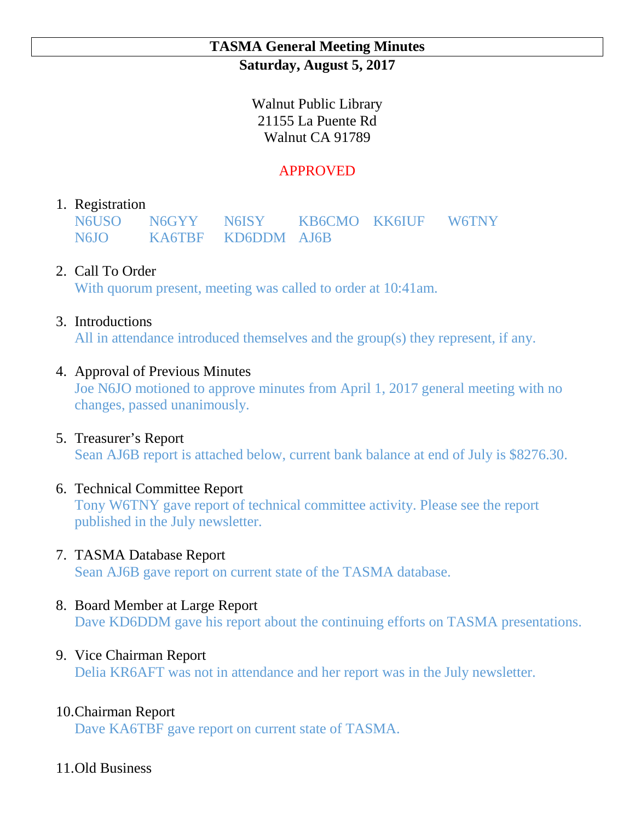# **TASMA General Meeting Minutes Saturday, August 5, 2017**

Walnut Public Library 21155 La Puente Rd Walnut CA 91789

# APPROVED

# 1. Registration

N6USO N6GYY N6ISY KB6CMO KK6IUF W6TNY N6JO KA6TBF KD6DDM AJ6B

# 2. Call To Order

With quorum present, meeting was called to order at 10:41am.

### 3. Introductions

All in attendance introduced themselves and the group(s) they represent, if any.

### 4. Approval of Previous Minutes

Joe N6JO motioned to approve minutes from April 1, 2017 general meeting with no changes, passed unanimously.

#### 5. Treasurer's Report

Sean AJ6B report is attached below, current bank balance at end of July is \$8276.30.

#### 6. Technical Committee Report

Tony W6TNY gave report of technical committee activity. Please see the report published in the July newsletter.

# 7. TASMA Database Report

Sean AJ6B gave report on current state of the TASMA database.

#### 8. Board Member at Large Report

Dave KD6DDM gave his report about the continuing efforts on TASMA presentations.

# 9. Vice Chairman Report

Delia KR6AFT was not in attendance and her report was in the July newsletter.

# 10.Chairman Report

Dave KA6TBF gave report on current state of TASMA.

#### 11.Old Business